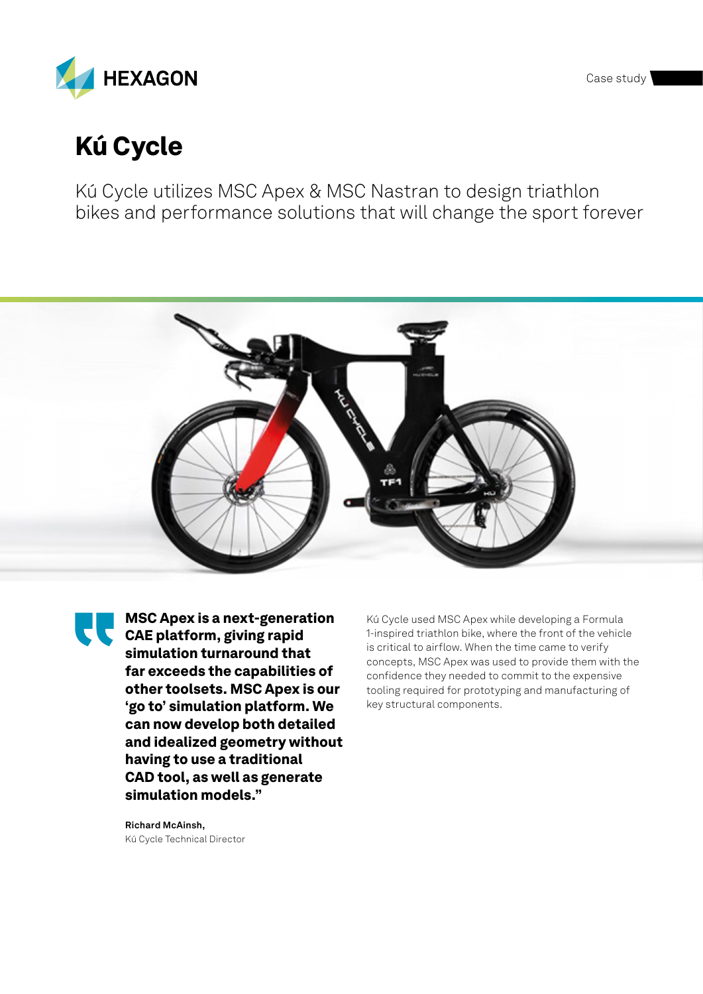Case study



# Kú Cycle

Kú Cycle utilizes MSC Apex & MSC Nastran to design triathlon bikes and performance solutions that will change the sport forever



MSC Apex is a next-generation EL MOURPUN IVERSION simulation turnaround that far exceeds the capabilities of other toolsets. MSC Apex is our 'go to' simulation platform. We can now develop both detailed and idealized geometry without having to use a traditional CAD tool, as well as generate simulation models."

Kú Cycle used MSC Apex while developing a Formula 1-inspired triathlon bike, where the front of the vehicle is critical to airflow. When the time came to verify concepts, MSC Apex was used to provide them with the confidence they needed to commit to the expensive tooling required for prototyping and manufacturing of key structural components.

**Richard McAinsh,**  Kú Cycle Technical Director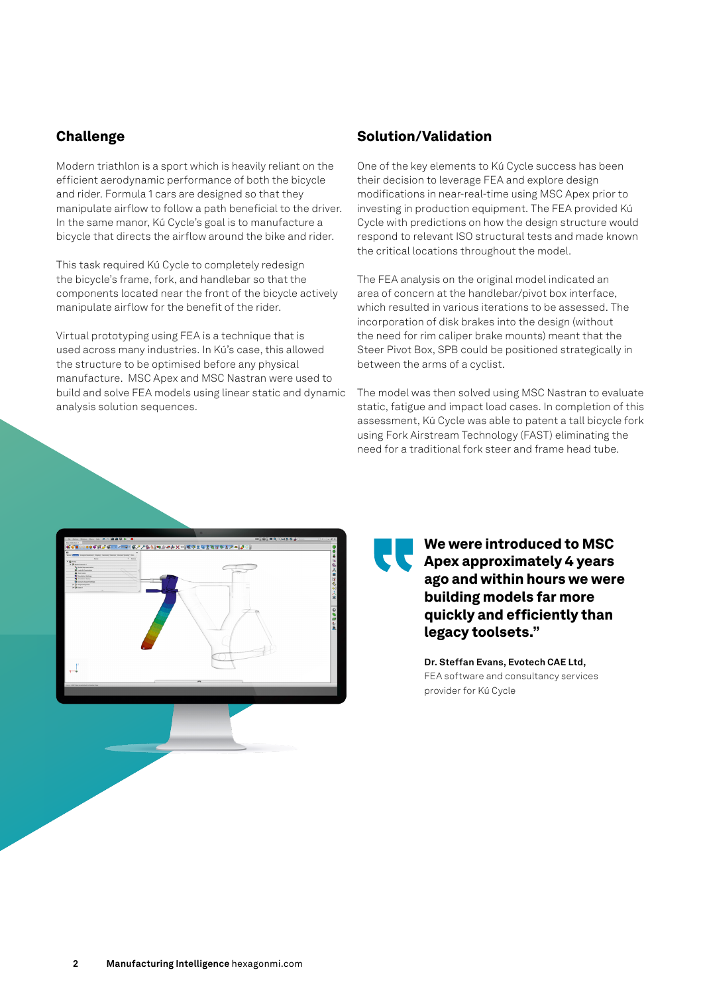## Challenge

Modern triathlon is a sport which is heavily reliant on the efficient aerodynamic performance of both the bicycle and rider. Formula 1 cars are designed so that they manipulate airflow to follow a path beneficial to the driver. In the same manor, Kú Cycle's goal is to manufacture a bicycle that directs the airflow around the bike and rider.

This task required Kú Cycle to completely redesign the bicycle's frame, fork, and handlebar so that the components located near the front of the bicycle actively manipulate airflow for the benefit of the rider.

Virtual prototyping using FEA is a technique that is used across many industries. In Kú's case, this allowed the structure to be optimised before any physical manufacture. MSC Apex and MSC Nastran were used to build and solve FEA models using linear static and dynamic analysis solution sequences.

## Solution/Validation

One of the key elements to Kú Cycle success has been their decision to leverage FEA and explore design modifications in near-real-time using MSC Apex prior to investing in production equipment. The FEA provided Kú Cycle with predictions on how the design structure would respond to relevant ISO structural tests and made known the critical locations throughout the model.

The FEA analysis on the original model indicated an area of concern at the handlebar/pivot box interface, which resulted in various iterations to be assessed. The incorporation of disk brakes into the design (without the need for rim caliper brake mounts) meant that the Steer Pivot Box, SPB could be positioned strategically in between the arms of a cyclist.

The model was then solved using MSC Nastran to evaluate static, fatigue and impact load cases. In completion of this assessment, Kú Cycle was able to patent a tall bicycle fork using Fork Airstream Technology (FAST) eliminating the need for a traditional fork steer and frame head tube.



We were introduced to MSC Apex approximately 4 years ago and within hours we were building models far more quickly and efficiently than legacy toolsets."

**Dr. Steffan Evans, Evotech CAE Ltd,**  FEA software and consultancy services provider for Kú Cycle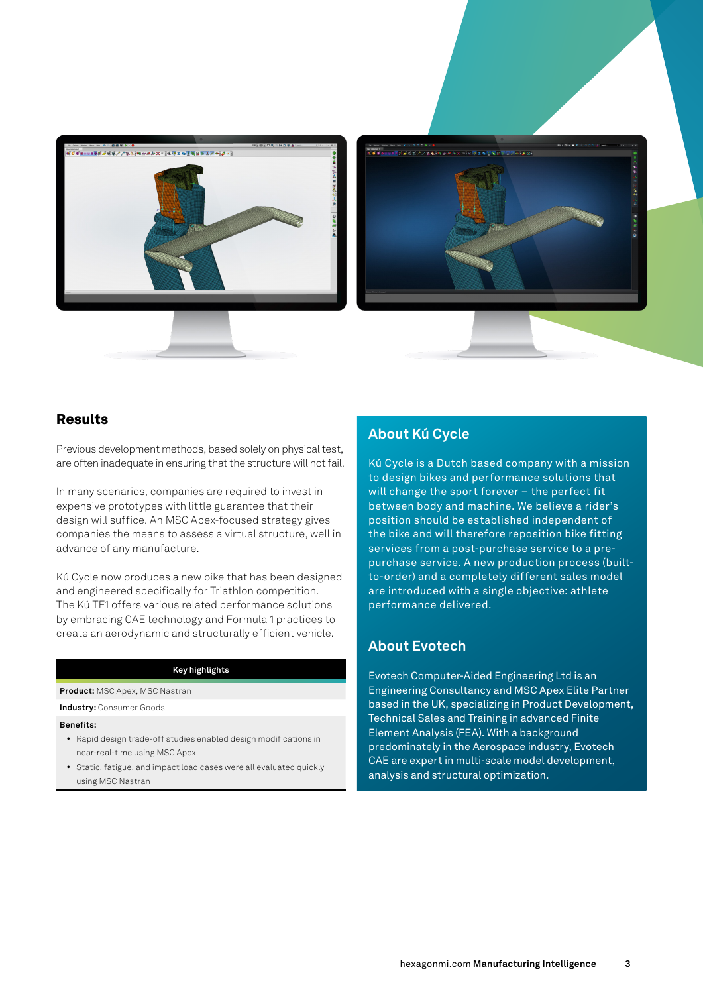



## Results

Previous development methods, based solely on physical test, are often inadequate in ensuring that the structure will not fail.

In many scenarios, companies are required to invest in expensive prototypes with little guarantee that their design will suffice. An MSC Apex-focused strategy gives companies the means to assess a virtual structure, well in advance of any manufacture.

Kú Cycle now produces a new bike that has been designed and engineered specifically for Triathlon competition. The Kú TF1 offers various related performance solutions by embracing CAE technology and Formula 1 practices to create an aerodynamic and structurally efficient vehicle.

### **Key highlights**

**Product:** MSC Apex, MSC Nastran

**Industry:** Consumer Goods

#### **Benefits:**

- Rapid design trade-off studies enabled design modifications in near-real-time using MSC Apex
- Static, fatigue, and impact load cases were all evaluated quickly using MSC Nastran

## **About Kú Cycle**

Kú Cycle is a Dutch based company with a mission to design bikes and performance solutions that will change the sport forever – the perfect fit between body and machine. We believe a rider's position should be established independent of the bike and will therefore reposition bike fitting services from a post-purchase service to a prepurchase service. A new production process (builtto-order) and a completely different sales model are introduced with a single objective: athlete performance delivered.

## **About Evotech**

Evotech Computer-Aided Engineering Ltd is an Engineering Consultancy and MSC Apex Elite Partner based in the UK, specializing in Product Development, Technical Sales and Training in advanced Finite Element Analysis (FEA). With a background predominately in the Aerospace industry, Evotech CAE are expert in multi-scale model development, analysis and structural optimization.